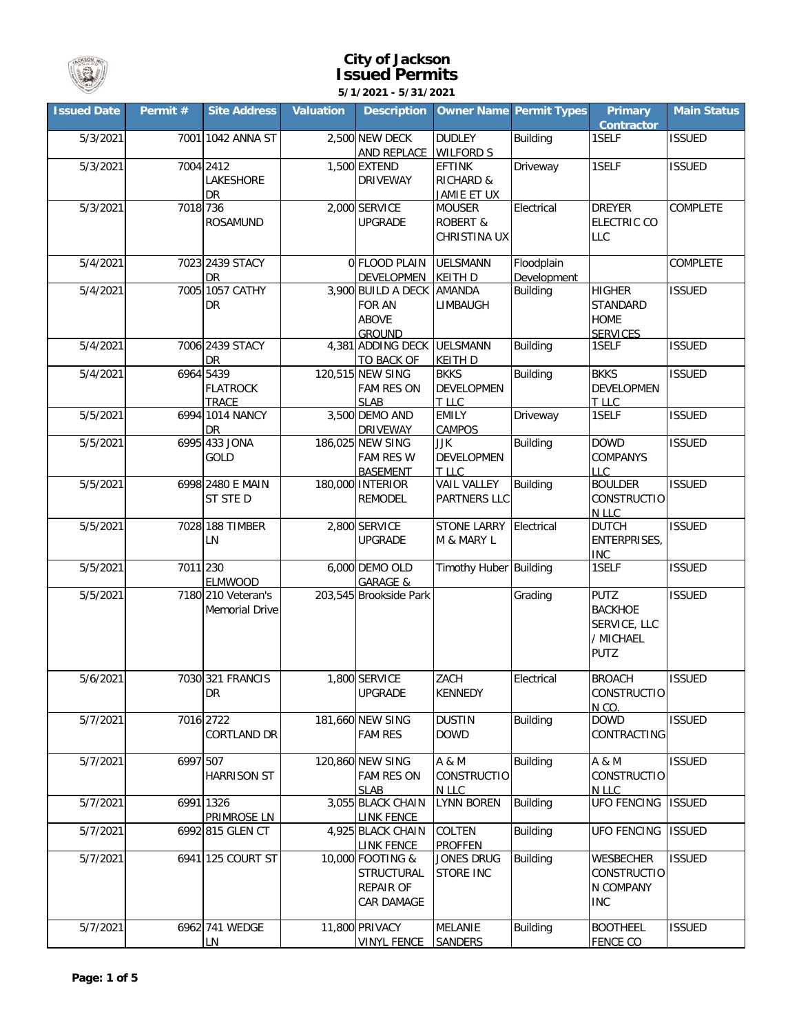

## **City of Jackson Issued Permits**

**5/1/2021 - 5/31/2021**

| <b>Issued Date</b> | Permit # | <b>Site Address</b>                          | <b>Valuation</b> | <b>Description</b>                                            |                                                             | <b>Owner Name Permit Types</b> | <b>Primary</b><br>Contractor                                              | <b>Main Status</b> |
|--------------------|----------|----------------------------------------------|------------------|---------------------------------------------------------------|-------------------------------------------------------------|--------------------------------|---------------------------------------------------------------------------|--------------------|
| 5/3/2021           |          | 7001 1042 ANNA ST                            |                  | 2,500 NEW DECK<br>AND REPLACE                                 | <b>DUDLEY</b><br><b>WILFORD S</b>                           | <b>Building</b>                | 1SELF                                                                     | <b>ISSUED</b>      |
| 5/3/2021           |          | 7004 2412<br>LAKESHORE<br><b>DR</b>          |                  | 1,500 EXTEND<br><b>DRIVEWAY</b>                               | <b>EFTINK</b><br><b>RICHARD &amp;</b><br>JAMIE ET UX        | Driveway                       | 1SELF                                                                     | <b>ISSUED</b>      |
| 5/3/2021           | 7018 736 | <b>ROSAMUND</b>                              |                  | 2,000 SERVICE<br><b>UPGRADE</b>                               | <b>MOUSER</b><br><b>ROBERT &amp;</b><br><b>CHRISTINA UX</b> | Electrical                     | <b>DREYER</b><br><b>ELECTRIC CO</b><br>LLC                                | <b>COMPLETE</b>    |
| 5/4/2021           |          | 7023 2439 STACY<br>DR                        |                  | 0 FLOOD PLAIN<br>DEVELOPMEN                                   | <b>UELSMANN</b><br><b>KEITH D</b>                           | Floodplain<br>Development      |                                                                           | <b>COMPLETE</b>    |
| 5/4/2021           |          | 7005 1057 CATHY<br>DR                        |                  | 3,900 BUILD A DECK<br>FOR AN<br><b>ABOVE</b><br><b>GROUND</b> | <b>AMANDA</b><br>LIMBAUGH                                   | <b>Building</b>                | <b>HIGHER</b><br>STANDARD<br><b>HOME</b><br><b>SERVICES</b>               | <b>ISSUED</b>      |
| 5/4/2021           |          | 7006 2439 STACY<br>DR                        |                  | 4,381 ADDING DECK<br>TO BACK OF                               | <b>UELSMANN</b><br><b>KEITH D</b>                           | <b>Building</b>                | 1SELF                                                                     | <b>ISSUED</b>      |
| 5/4/2021           |          | 6964 5439<br><b>FLATROCK</b><br><b>TRACE</b> |                  | 120,515 NEW SING<br><b>FAM RES ON</b><br><b>SLAB</b>          | <b>BKKS</b><br><b>DEVELOPMEN</b><br>T LLC                   | <b>Building</b>                | <b>BKKS</b><br><b>DEVELOPMEN</b><br>T LLC                                 | <b>ISSUED</b>      |
| 5/5/2021           |          | 6994 1014 NANCY<br>DR                        |                  | 3,500 DEMO AND<br><b>DRIVEWAY</b>                             | <b>EMILY</b><br>CAMPOS                                      | Driveway                       | 1SELF                                                                     | <b>ISSUED</b>      |
| 5/5/2021           |          | 6995 433 JONA<br>GOLD                        |                  | 186,025 NEW SING<br><b>FAM RES W</b><br><b>BASEMENT</b>       | JJK<br><b>DEVELOPMEN</b><br>T LLC                           | <b>Building</b>                | <b>DOWD</b><br>COMPANYS<br><b>LLC</b>                                     | <b>ISSUED</b>      |
| 5/5/2021           |          | 6998 2480 E MAIN<br>ST STE D                 |                  | 180,000 INTERIOR<br><b>REMODEL</b>                            | <b>VAIL VALLEY</b><br>PARTNERS LLC                          | <b>Building</b>                | <b>BOULDER</b><br>CONSTRUCTIO<br>N LLC                                    | <b>ISSUED</b>      |
| 5/5/2021           |          | 7028 188 TIMBER<br>LN                        |                  | 2,800 SERVICE<br><b>UPGRADE</b>                               | <b>STONE LARRY</b><br>M & MARY L                            | Electrical                     | <b>DUTCH</b><br>ENTERPRISES,<br>INC                                       | <b>ISSUED</b>      |
| 5/5/2021           | 7011 230 | <b>ELMWOOD</b>                               |                  | 6,000 DEMO OLD<br><b>GARAGE &amp;</b>                         | Timothy Huber Building                                      |                                | 1SELF                                                                     | <b>ISSUED</b>      |
| 5/5/2021           |          | 7180 210 Veteran's<br><b>Memorial Drive</b>  |                  | 203,545 Brookside Park                                        |                                                             | Grading                        | <b>PUTZ</b><br><b>BACKHOE</b><br>SERVICE, LLC<br>/ MICHAEL<br><b>PUTZ</b> | <b>ISSUED</b>      |
| 5/6/2021           |          | 7030 321 FRANCIS<br>DR                       |                  | 1,800 SERVICE<br><b>UPGRADE</b>                               | ZACH<br><b>KENNEDY</b>                                      | Electrical                     | <b>BROACH</b><br><b>CONSTRUCTIO</b><br>N CO.                              | <b>ISSUED</b>      |
| 5/7/2021           |          | 7016 2722<br>CORTLAND DR                     |                  | 181,660 NEW SING<br><b>FAM RES</b>                            | <b>DUSTIN</b><br><b>DOWD</b>                                | <b>Building</b>                | <b>DOWD</b><br>CONTRACTING                                                | <b>ISSUED</b>      |
| 5/7/2021           | 6997 507 | <b>HARRISON ST</b>                           |                  | 120,860 NEW SING<br><b>FAM RES ON</b><br><b>SLAB</b>          | A & M<br>CONSTRUCTIO<br>N LLC                               | <b>Building</b>                | A & M<br>CONSTRUCTIO<br>N LLC                                             | <b>ISSUED</b>      |
| 5/7/2021           |          | 6991 1326<br>PRIMROSE LN                     |                  | 3,055 BLACK CHAIN<br><b>LINK FENCE</b>                        | <b>LYNN BOREN</b>                                           | Building                       | <b>UFO FENCING</b>                                                        | <b>ISSUED</b>      |
| 5/7/2021           |          | 6992 815 GLEN CT                             |                  | 4,925 BLACK CHAIN<br><b>LINK FENCE</b>                        | <b>COLTEN</b><br><b>PROFFEN</b>                             | <b>Building</b>                | <b>UFO FENCING</b>                                                        | <b>ISSUED</b>      |
| 5/7/2021           |          | 6941 125 COURT ST                            |                  | 10,000 FOOTING &<br>STRUCTURAL<br>REPAIR OF<br>CAR DAMAGE     | Jones Drug<br><b>STORE INC</b>                              | <b>Building</b>                | <b>WESBECHER</b><br>CONSTRUCTIO<br>N COMPANY<br><b>INC</b>                | <b>ISSUED</b>      |
| 5/7/2021           |          | 6962 741 WEDGE<br>LN                         |                  | 11,800 PRIVACY<br><b>VINYL FENCE</b>                          | <b>MELANIE</b><br><b>SANDERS</b>                            | <b>Building</b>                | <b>BOOTHEEL</b><br><b>FENCE CO</b>                                        | <b>ISSUED</b>      |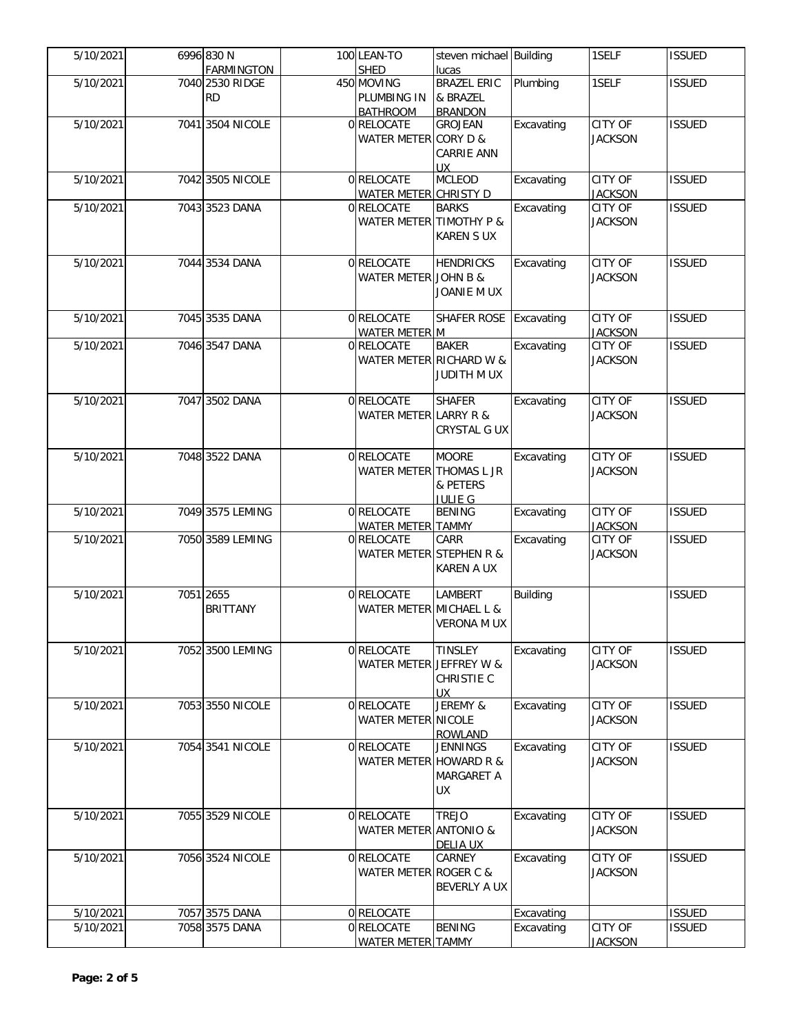| 5/10/2021 | 6996 830 N                           | 100 LEAN-TO               | steven michael Building     |                 | 1SELF          | <b>ISSUED</b> |
|-----------|--------------------------------------|---------------------------|-----------------------------|-----------------|----------------|---------------|
| 5/10/2021 | <b>FARMINGTON</b><br>7040 2530 RIDGE | <b>SHED</b><br>450 MOVING | lucas<br><b>BRAZEL ERIC</b> | Plumbing        | 1SELF          | <b>ISSUED</b> |
|           | <b>RD</b>                            | PLUMBING IN               | & BRAZEL                    |                 |                |               |
|           |                                      | <b>BATHROOM</b>           | <b>BRANDON</b>              |                 |                |               |
| 5/10/2021 | 7041 3504 NICOLE                     | 0 RELOCATE                | <b>GROJEAN</b>              | Excavating      | CITY OF        | <b>ISSUED</b> |
|           |                                      | WATER METER CORY D &      |                             |                 | <b>JACKSON</b> |               |
|           |                                      |                           | CARRIE ANN                  |                 |                |               |
|           |                                      |                           | <b>UX</b>                   |                 |                |               |
| 5/10/2021 | 7042 3505 NICOLE                     | 0 RELOCATE                | <b>MCLEOD</b>               | Excavating      | CITY OF        | <b>ISSUED</b> |
|           |                                      | WATER METER CHRISTY D     |                             |                 | <b>JACKSON</b> |               |
| 5/10/2021 | 7043 3523 DANA                       | 0 RELOCATE                | <b>BARKS</b>                | Excavating      | CITY OF        | <b>ISSUED</b> |
|           |                                      | WATER METER TIMOTHY P &   |                             |                 | <b>JACKSON</b> |               |
|           |                                      |                           | <b>KAREN S UX</b>           |                 |                |               |
|           |                                      |                           |                             |                 |                |               |
| 5/10/2021 | 7044 3534 DANA                       | 0 RELOCATE                | <b>HENDRICKS</b>            | Excavating      | <b>CITY OF</b> | <b>ISSUED</b> |
|           |                                      | WATER METER JOHN B &      |                             |                 | <b>JACKSON</b> |               |
|           |                                      |                           | JOANIE M UX                 |                 |                |               |
|           |                                      |                           |                             |                 |                |               |
| 5/10/2021 | 7045 3535 DANA                       | 0 RELOCATE                | SHAFER ROSE                 | Excavating      | CITY OF        | <b>ISSUED</b> |
|           |                                      | <b>WATER METER M</b>      |                             | Excavating      | <b>JACKSON</b> |               |
| 5/10/2021 | 7046 3547 DANA                       | 0 RELOCATE                | <b>BAKER</b>                |                 | CITY OF        | <b>ISSUED</b> |
|           |                                      | WATER METER RICHARD W &   |                             |                 | <b>JACKSON</b> |               |
|           |                                      |                           | JUDITH M UX                 |                 |                |               |
| 5/10/2021 | 7047 3502 DANA                       | 0 RELOCATE                | <b>SHAFER</b>               | Excavating      | <b>CITY OF</b> | <b>ISSUED</b> |
|           |                                      | WATER METER LARRY R &     |                             |                 | <b>JACKSON</b> |               |
|           |                                      |                           | CRYSTAL G UX                |                 |                |               |
|           |                                      |                           |                             |                 |                |               |
| 5/10/2021 | 7048 3522 DANA                       | 0 RELOCATE                | <b>MOORE</b>                | Excavating      | CITY OF        | <b>ISSUED</b> |
|           |                                      | WATER METER THOMAS L JR   |                             |                 | <b>JACKSON</b> |               |
|           |                                      |                           | & PETERS                    |                 |                |               |
|           |                                      |                           | <b>JULIE G</b>              |                 |                |               |
| 5/10/2021 | 7049 3575 LEMING                     | 0 RELOCATE                | <b>BENING</b>               | Excavating      | <b>CITY OF</b> | <b>ISSUED</b> |
|           |                                      | <b>WATER METER TAMMY</b>  |                             |                 | <b>JACKSON</b> |               |
| 5/10/2021 | 7050 3589 LEMING                     | 0 RELOCATE                | CARR                        | Excavating      | CITY OF        | <b>ISSUED</b> |
|           |                                      | WATER METER STEPHEN R &   |                             |                 | <b>JACKSON</b> |               |
|           |                                      |                           | <b>KAREN A UX</b>           |                 |                |               |
|           | 7051 2655                            | 0 RELOCATE                |                             |                 |                |               |
| 5/10/2021 | <b>BRITTANY</b>                      |                           | LAMBERT                     | <b>Building</b> |                | <b>ISSUED</b> |
|           |                                      | WATER METER MICHAEL L &   |                             |                 |                |               |
|           |                                      |                           | <b>VERONA M UX</b>          |                 |                |               |
| 5/10/2021 | 7052 3500 LEMING                     | 0 RELOCATE                | <b>TINSLEY</b>              | Excavating      | <b>CITY OF</b> | <b>ISSUED</b> |
|           |                                      | WATER METER JEFFREY W &   |                             |                 | <b>JACKSON</b> |               |
|           |                                      |                           | CHRISTIE C                  |                 |                |               |
|           |                                      |                           | <b>UX</b>                   |                 |                |               |
| 5/10/2021 | 7053 3550 NICOLE                     | 0 RELOCATE                | JEREMY &                    | Excavating      | CITY OF        | <b>ISSUED</b> |
|           |                                      | <b>WATER METER NICOLE</b> |                             |                 | <b>JACKSON</b> |               |
|           |                                      |                           | <b>ROWLAND</b>              |                 |                |               |
| 5/10/2021 | 7054 3541 NICOLE                     | 0 RELOCATE                | <b>JENNINGS</b>             | Excavating      | <b>CITY OF</b> | <b>ISSUED</b> |
|           |                                      | WATER METER HOWARD R &    |                             |                 | <b>JACKSON</b> |               |
|           |                                      |                           | MARGARET A                  |                 |                |               |
|           |                                      |                           | UX                          |                 |                |               |
|           |                                      |                           |                             |                 |                |               |
| 5/10/2021 | 7055 3529 NICOLE                     | 0 RELOCATE                | <b>TREJO</b>                | Excavating      | CITY OF        | <b>ISSUED</b> |
|           |                                      | WATER METER ANTONIO &     |                             |                 | <b>JACKSON</b> |               |
|           |                                      |                           | <b>DELIA UX</b>             |                 |                |               |
| 5/10/2021 | 7056 3524 NICOLE                     | 0 RELOCATE                | CARNEY                      | Excavating      | CITY OF        | <b>ISSUED</b> |
|           |                                      | WATER METER ROGER C &     |                             |                 | <b>JACKSON</b> |               |
|           |                                      |                           | BEVERLY A UX                |                 |                |               |
| 5/10/2021 | 7057 3575 DANA                       | 0 RELOCATE                |                             | Excavating      |                | <b>ISSUED</b> |
| 5/10/2021 | 7058 3575 DANA                       | 0 RELOCATE                | <b>BENING</b>               | Excavating      | CITY OF        | <b>ISSUED</b> |
|           |                                      | WATER METER TAMMY         |                             |                 | <b>JACKSON</b> |               |
|           |                                      |                           |                             |                 |                |               |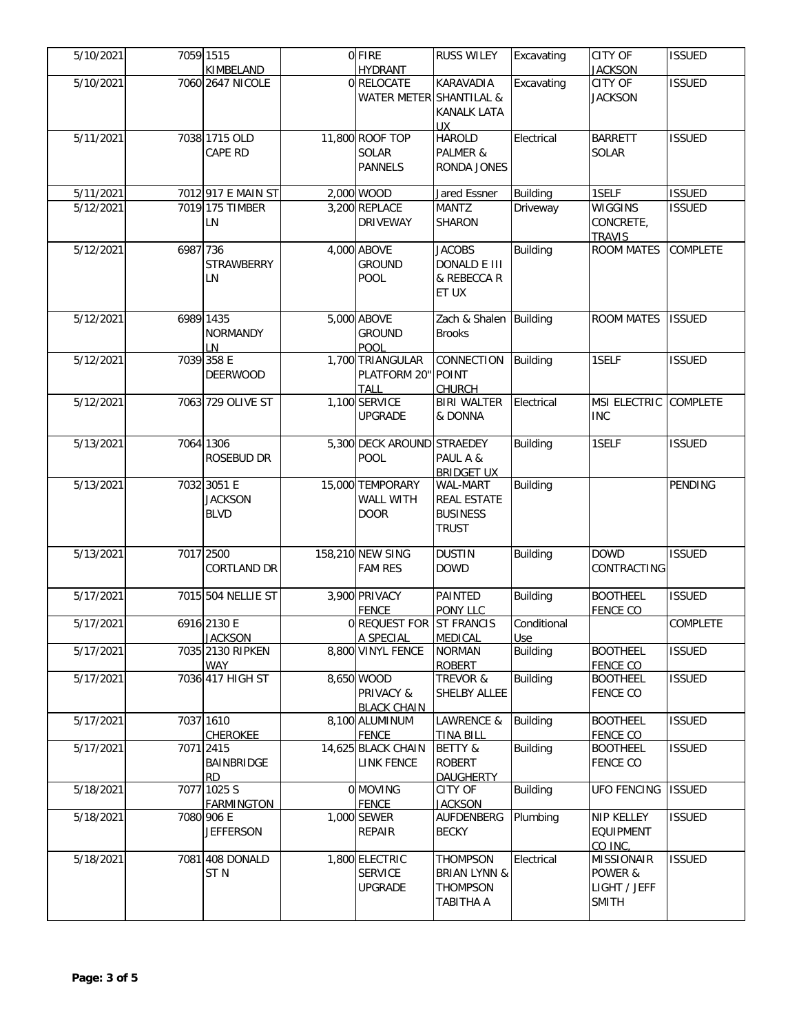| 5/10/2021             |          | 7059 1515                                    | 0 FIRE                                                | <b>RUSS WILEY</b>                                                          | Excavating         | <b>CITY OF</b>                                               | <b>ISSUED</b>   |
|-----------------------|----------|----------------------------------------------|-------------------------------------------------------|----------------------------------------------------------------------------|--------------------|--------------------------------------------------------------|-----------------|
| $\frac{1}{5/10/2021}$ |          | KIMBELAND<br>7060 2647 NICOLE                | <b>HYDRANT</b><br>0 RELOCATE                          | <b>KARAVADIA</b>                                                           | Excavating         | <b>JACKSON</b><br>CITY OF                                    | <b>ISSUED</b>   |
|                       |          |                                              | WATER METER SHANTILAL &                               | <b>KANALK LATA</b>                                                         |                    | <b>JACKSON</b>                                               |                 |
| 5/11/2021             |          | 7038 1715 OLD<br>CAPE RD                     | 11,800 ROOF TOP<br><b>SOLAR</b><br><b>PANNELS</b>     | UХ<br><b>HAROLD</b><br>PALMER &<br>RONDA JONES                             | Electrical         | <b>BARRETT</b><br><b>SOLAR</b>                               | <b>ISSUED</b>   |
| 5/11/2021             |          | 7012 917 E MAIN ST                           | 2,000 WOOD                                            | Jared Essner                                                               | <b>Building</b>    | 1SELF                                                        | <b>ISSUED</b>   |
| 5/12/2021             |          | 7019 175 TIMBER<br>LN                        | 3,200 REPLACE<br><b>DRIVEWAY</b>                      | <b>MANTZ</b><br>SHARON                                                     | Driveway           | <b>WIGGINS</b><br>CONCRETE,<br><b>TRAVIS</b>                 | <b>ISSUED</b>   |
| 5/12/2021             | 6987 736 | <b>STRAWBERRY</b><br>LN                      | 4,000 ABOVE<br><b>GROUND</b><br>POOL                  | <b>JACOBS</b><br>DONALD E III<br>& REBECCA R<br>ET UX                      | <b>Building</b>    | <b>ROOM MATES</b>                                            | <b>COMPLETE</b> |
| 5/12/2021             |          | 6989 1435<br><b>NORMANDY</b><br>LN           | 5,000 ABOVE<br><b>GROUND</b><br><b>POOL</b>           | Zach & Shalen Building<br><b>Brooks</b>                                    |                    | <b>ROOM MATES</b>                                            | <b>ISSUED</b>   |
| 5/12/2021             |          | 7039 358 E<br><b>DEERWOOD</b>                | 1,700 TRIANGULAR<br>PLATFORM 20" POINT<br><b>TALL</b> | CONNECTION<br><b>CHURCH</b>                                                | <b>Building</b>    | 1SELF                                                        | <b>ISSUED</b>   |
| 5/12/2021             |          | 7063 729 OLIVE ST                            | 1,100 SERVICE<br><b>UPGRADE</b>                       | <b>BIRI WALTER</b><br>& DONNA                                              | Electrical         | MSI ELECTRIC COMPLETE<br><b>INC</b>                          |                 |
| 5/13/2021             |          | 7064 1306<br>ROSEBUD DR                      | 5,300 DECK AROUND STRAEDEY<br>POOL                    | PAUL A &<br><b>BRIDGET UX</b>                                              | <b>Building</b>    | 1SELF                                                        | <b>ISSUED</b>   |
| 5/13/2021             |          | 7032 3051 E<br><b>JACKSON</b><br><b>BLVD</b> | 15,000 TEMPORARY<br>WALL WITH<br><b>DOOR</b>          | WAL-MART<br><b>REAL ESTATE</b><br><b>BUSINESS</b><br><b>TRUST</b>          | <b>Building</b>    |                                                              | <b>PENDING</b>  |
| 5/13/2021             |          | 7017 2500<br><b>CORTLAND DR</b>              | 158,210 NEW SING<br><b>FAM RES</b>                    | <b>DUSTIN</b><br><b>DOWD</b>                                               | <b>Building</b>    | <b>DOWD</b><br>CONTRACTING                                   | <b>ISSUED</b>   |
| 5/17/2021             |          | 7015 504 NELLIE ST                           | 3,900 PRIVACY<br><b>FENCE</b>                         | <b>PAINTED</b><br>PONY LLC                                                 | Building           | <b>BOOTHEEL</b><br><b>FENCE CO</b>                           | <b>ISSUED</b>   |
| 5/17/2021             |          | 6916 2130 E<br><b>JACKSON</b>                | 0 REQUEST FOR ST FRANCIS<br>A SPECIAL                 | <b>MEDICAL</b>                                                             | Conditional<br>Use |                                                              | <b>COMPLETE</b> |
| 5/17/2021             |          | 7035 2130 RIPKEN<br>WAY                      | 8,800 VINYL FENCE                                     | <b>NORMAN</b><br><b>ROBERT</b>                                             | <b>Building</b>    | <b>BOOTHEEL</b><br><b>FENCE CO</b>                           | <b>ISSUED</b>   |
| 5/17/2021             |          | 7036 417 HIGH ST                             | 8,650 WOOD<br>PRIVACY &<br><b>BLACK CHAIN</b>         | <b>TREVOR &amp;</b><br>SHELBY ALLEE                                        | <b>Building</b>    | <b>BOOTHEEL</b><br><b>FENCE CO</b>                           | <b>ISSUED</b>   |
| 5/17/2021             |          | 7037 1610<br><b>CHEROKEE</b>                 | 8,100 ALUMINUM<br><b>FENCE</b>                        | LAWRENCE &<br><b>TINA BILL</b>                                             | <b>Building</b>    | <b>BOOTHEEL</b><br><b>FENCE CO</b>                           | <b>ISSUED</b>   |
| 5/17/2021             |          | 7071 2415<br><b>BAINBRIDGE</b><br><b>RD</b>  | 14,625 BLACK CHAIN<br><b>LINK FENCE</b>               | BETTY &<br><b>ROBERT</b><br><b>DAUGHERTY</b>                               | <b>Building</b>    | <b>BOOTHEEL</b><br><b>FENCE CO</b>                           | <b>ISSUED</b>   |
| 5/18/2021             |          | 7077 1025 S<br><b>FARMINGTON</b>             | 0 MOVING<br><b>FENCE</b>                              | CITY OF<br><b>JACKSON</b>                                                  | <b>Building</b>    | <b>UFO FENCING</b>                                           | <b>ISSUED</b>   |
| 5/18/2021             |          | 7080 906 E<br><b>JEFFERSON</b>               | 1,000 SEWER<br>REPAIR                                 | AUFDENBERG<br><b>BECKY</b>                                                 | Plumbing           | NIP KELLEY<br><b>EQUIPMENT</b><br>CO INC.                    | <b>ISSUED</b>   |
| 5/18/2021             |          | 7081 408 DONALD<br>ST <sub>N</sub>           | 1,800 ELECTRIC<br><b>SERVICE</b><br><b>UPGRADE</b>    | <b>THOMPSON</b><br><b>BRIAN LYNN &amp;</b><br><b>THOMPSON</b><br>TABITHA A | Electrical         | <b>MISSIONAIR</b><br>POWER &<br>LIGHT / JEFF<br><b>SMITH</b> | <b>ISSUED</b>   |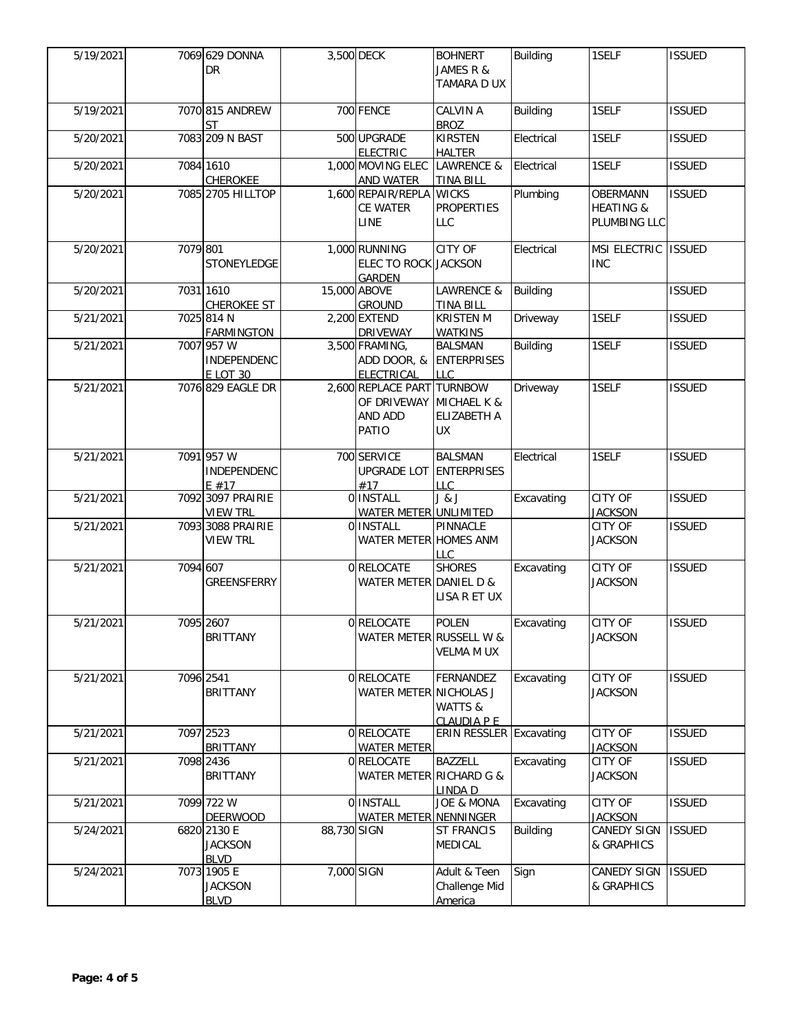| 5/19/2021 |          | 7069 629 DONNA<br><b>DR</b>                  |             | 3,500 DECK                                                    | <b>BOHNERT</b><br>JAMES R &<br>TAMARA D UX         | <b>Building</b> | 1SELF                                                   | <b>ISSUED</b> |
|-----------|----------|----------------------------------------------|-------------|---------------------------------------------------------------|----------------------------------------------------|-----------------|---------------------------------------------------------|---------------|
| 5/19/2021 |          | 7070 815 ANDREW<br>ST                        |             | 700 FENCE                                                     | <b>CALVIN A</b><br><b>BROZ</b>                     | <b>Building</b> | 1SELF                                                   | <b>ISSUED</b> |
| 5/20/2021 |          | 7083 209 N BAST                              |             | 500 UPGRADE<br><b>ELECTRIC</b>                                | <b>KIRSTEN</b><br><b>HALTER</b>                    | Electrical      | 1SELF                                                   | <b>ISSUED</b> |
| 5/20/2021 |          | 7084 1610<br><b>CHEROKEE</b>                 |             | 1,000 MOVING ELEC<br><b>AND WATER</b>                         | <b>LAWRENCE &amp;</b><br><b>TINA BILL</b>          | Electrical      | 1SELF                                                   | <b>ISSUED</b> |
| 5/20/2021 |          | 7085 2705 HILLTOP                            |             | 1,600 REPAIR/REPLA WICKS<br>CE WATER<br>LINE                  | <b>PROPERTIES</b><br><b>LLC</b>                    | Plumbing        | <b>OBERMANN</b><br><b>HEATING &amp;</b><br>PLUMBING LLC | <b>ISSUED</b> |
| 5/20/2021 | 7079 801 | STONEYLEDGE                                  |             | 1,000 RUNNING<br><b>ELEC TO ROCK JACKSON</b><br><b>GARDEN</b> | <b>CITY OF</b>                                     | Electrical      | MSI ELECTRIC ISSUED<br><b>INC</b>                       |               |
| 5/20/2021 |          | 7031 1610<br><b>CHEROKEE ST</b>              |             | 15,000 ABOVE<br><b>GROUND</b>                                 | LAWRENCE &<br><b>TINA BILL</b>                     | <b>Building</b> |                                                         | <b>ISSUED</b> |
| 5/21/2021 |          | 7025 814 N<br><b>FARMINGTON</b>              |             | 2,200 EXTEND<br><b>DRIVEWAY</b>                               | <b>KRISTEN M</b><br><b>WATKINS</b>                 | Driveway        | 1SELF                                                   | <b>ISSUED</b> |
| 5/21/2021 |          | 7007 957 W<br>INDEPENDENC<br><b>E LOT 30</b> |             | 3,500 FRAMING,<br>ADD DOOR, &<br>ELECTRICAL                   | <b>BALSMAN</b><br><b>ENTERPRISES</b><br><b>LLC</b> | <b>Building</b> | 1SELF                                                   | <b>ISSUED</b> |
| 5/21/2021 |          | 7076 829 EAGLE DR                            |             | 2,600 REPLACE PART TURNBOW<br>OF DRIVEWAY<br>AND ADD<br>PATIO | MICHAEL K &<br>ELIZABETH A<br><b>UX</b>            | Driveway        | 1SELF                                                   | <b>ISSUED</b> |
| 5/21/2021 |          | 7091 957 W<br>INDEPENDENC<br>E#17            |             | 700 SERVICE<br><b>UPGRADE LOT</b><br>#17                      | <b>BALSMAN</b><br><b>ENTERPRISES</b><br><b>LLC</b> | Electrical      | 1SELF                                                   | <b>ISSUED</b> |
| 5/21/2021 |          | 7092 3097 PRAIRIE<br><b>VIEW TRL</b>         |             | <b>OINSTALL</b><br>WATER METER UNLIMITED                      | J & J                                              | Excavating      | <b>CITY OF</b><br><b>JACKSON</b>                        | <b>ISSUED</b> |
| 5/21/2021 |          | 7093 3088 PRAIRIE<br><b>VIEW TRL</b>         |             | 0 INSTALL<br>WATER METER HOMES ANM                            | PINNACLE<br>LLC                                    |                 | CITY OF<br><b>JACKSON</b>                               | <b>ISSUED</b> |
| 5/21/2021 | 7094 607 | <b>GREENSFERRY</b>                           |             | 0 RELOCATE<br>WATER METER DANIEL D &                          | <b>SHORES</b><br>LISA R ET UX                      | Excavating      | CITY OF<br><b>JACKSON</b>                               | <b>ISSUED</b> |
| 5/21/2021 |          | 7095 2607<br><b>BRITTANY</b>                 |             | 0 RELOCATE<br>WATER METER RUSSELL W &                         | <b>POLEN</b><br><b>VELMA M UX</b>                  | Excavating      | <b>CITY OF</b><br><b>JACKSON</b>                        | <b>ISSUED</b> |
| 5/21/2021 |          | 7096 2541<br><b>BRITTANY</b>                 |             | 0 RELOCATE<br>WATER METER NICHOLAS J                          | FERNANDEZ<br>WATTS &<br><b>CLAUDIA P E</b>         | Excavating      | CITY OF<br><b>JACKSON</b>                               | <b>ISSUED</b> |
| 5/21/2021 |          | 7097 2523<br><b>BRITTANY</b>                 |             | 0 RELOCATE<br><b>WATER METER</b>                              | <b>ERIN RESSLER Excavating</b>                     |                 | CITY OF<br><b>JACKSON</b>                               | <b>ISSUED</b> |
| 5/21/2021 |          | 7098 2436<br><b>BRITTANY</b>                 |             | 0 RELOCATE<br>WATER METER RICHARD G &                         | <b>BAZZELL</b><br>LINDA D                          | Excavating      | CITY OF<br><b>JACKSON</b>                               | <b>ISSUED</b> |
| 5/21/2021 |          | 7099 722 W<br><b>DEERWOOD</b>                |             | 0 INSTALL<br>WATER METER NENNINGER                            | <b>JOE &amp; MONA</b>                              | Excavating      | CITY OF<br><b>JACKSON</b>                               | <b>ISSUED</b> |
| 5/24/2021 |          | 6820 2130 E<br><b>JACKSON</b><br><b>BLVD</b> | 88,730 SIGN |                                                               | <b>ST FRANCIS</b><br><b>MEDICAL</b>                | <b>Building</b> | <b>CANEDY SIGN</b><br>& GRAPHICS                        | <b>ISSUED</b> |
| 5/24/2021 |          | 7073 1905 E<br><b>JACKSON</b><br><b>BLVD</b> | 7,000 SIGN  |                                                               | Adult & Teen<br>Challenge Mid<br>America           | Sign            | <b>CANEDY SIGN</b><br>& GRAPHICS                        | <b>ISSUED</b> |